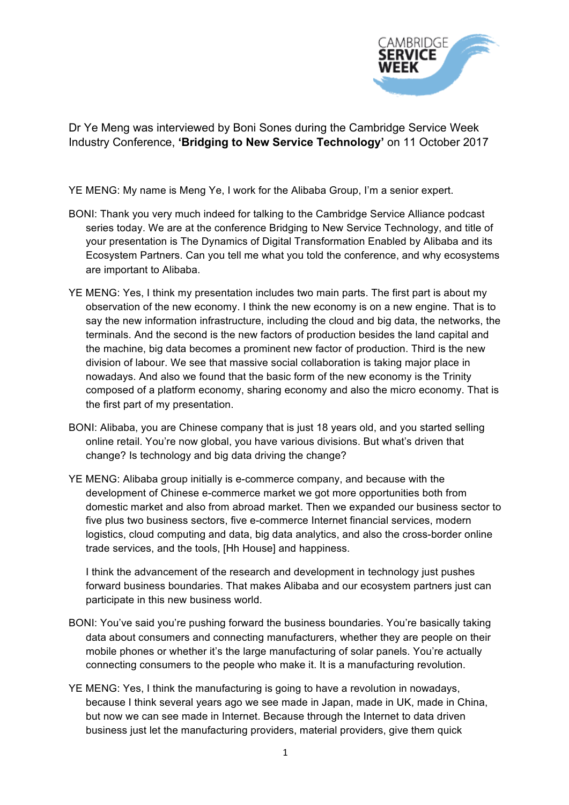

Dr Ye Meng was interviewed by Boni Sones during the Cambridge Service Week Industry Conference, **'Bridging to New Service Technology'** on 11 October 2017

YE MENG: My name is Meng Ye, I work for the Alibaba Group, I'm a senior expert.

- BONI: Thank you very much indeed for talking to the Cambridge Service Alliance podcast series today. We are at the conference Bridging to New Service Technology, and title of your presentation is The Dynamics of Digital Transformation Enabled by Alibaba and its Ecosystem Partners. Can you tell me what you told the conference, and why ecosystems are important to Alibaba.
- YE MENG: Yes, I think my presentation includes two main parts. The first part is about my observation of the new economy. I think the new economy is on a new engine. That is to say the new information infrastructure, including the cloud and big data, the networks, the terminals. And the second is the new factors of production besides the land capital and the machine, big data becomes a prominent new factor of production. Third is the new division of labour. We see that massive social collaboration is taking major place in nowadays. And also we found that the basic form of the new economy is the Trinity composed of a platform economy, sharing economy and also the micro economy. That is the first part of my presentation.
- BONI: Alibaba, you are Chinese company that is just 18 years old, and you started selling online retail. You're now global, you have various divisions. But what's driven that change? Is technology and big data driving the change?
- YE MENG: Alibaba group initially is e-commerce company, and because with the development of Chinese e-commerce market we got more opportunities both from domestic market and also from abroad market. Then we expanded our business sector to five plus two business sectors, five e-commerce Internet financial services, modern logistics, cloud computing and data, big data analytics, and also the cross-border online trade services, and the tools, [Hh House] and happiness.

I think the advancement of the research and development in technology just pushes forward business boundaries. That makes Alibaba and our ecosystem partners just can participate in this new business world.

- BONI: You've said you're pushing forward the business boundaries. You're basically taking data about consumers and connecting manufacturers, whether they are people on their mobile phones or whether it's the large manufacturing of solar panels. You're actually connecting consumers to the people who make it. It is a manufacturing revolution.
- YE MENG: Yes, I think the manufacturing is going to have a revolution in nowadays, because I think several years ago we see made in Japan, made in UK, made in China, but now we can see made in Internet. Because through the Internet to data driven business just let the manufacturing providers, material providers, give them quick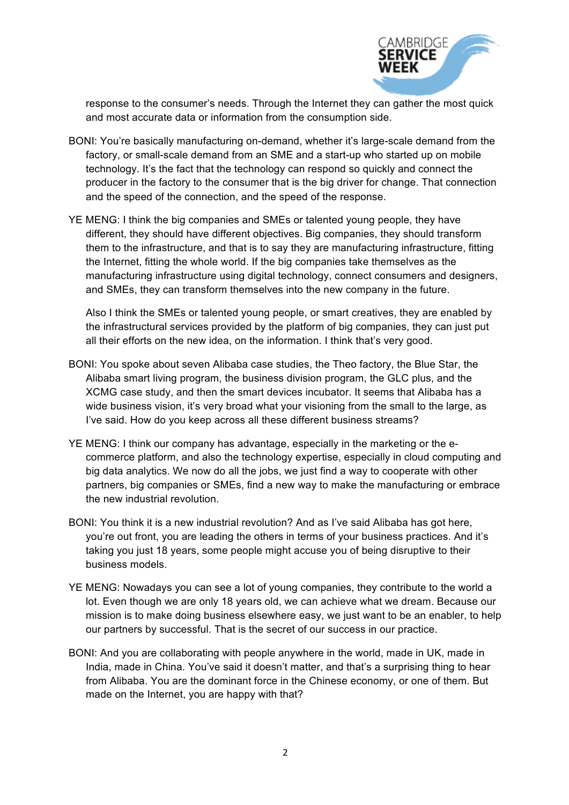

response to the consumer's needs. Through the Internet they can gather the most quick and most accurate data or information from the consumption side.

- BONI: You're basically manufacturing on-demand, whether it's large-scale demand from the factory, or small-scale demand from an SME and a start-up who started up on mobile technology. It's the fact that the technology can respond so quickly and connect the producer in the factory to the consumer that is the big driver for change. That connection and the speed of the connection, and the speed of the response.
- YE MENG: I think the big companies and SMEs or talented young people, they have different, they should have different objectives. Big companies, they should transform them to the infrastructure, and that is to say they are manufacturing infrastructure, fitting the Internet, fitting the whole world. If the big companies take themselves as the manufacturing infrastructure using digital technology, connect consumers and designers, and SMEs, they can transform themselves into the new company in the future.

Also I think the SMEs or talented young people, or smart creatives, they are enabled by the infrastructural services provided by the platform of big companies, they can just put all their efforts on the new idea, on the information. I think that's very good.

- BONI: You spoke about seven Alibaba case studies, the Theo factory, the Blue Star, the Alibaba smart living program, the business division program, the GLC plus, and the XCMG case study, and then the smart devices incubator. It seems that Alibaba has a wide business vision, it's very broad what your visioning from the small to the large, as I've said. How do you keep across all these different business streams?
- YE MENG: I think our company has advantage, especially in the marketing or the ecommerce platform, and also the technology expertise, especially in cloud computing and big data analytics. We now do all the jobs, we just find a way to cooperate with other partners, big companies or SMEs, find a new way to make the manufacturing or embrace the new industrial revolution.
- BONI: You think it is a new industrial revolution? And as I've said Alibaba has got here, you're out front, you are leading the others in terms of your business practices. And it's taking you just 18 years, some people might accuse you of being disruptive to their business models.
- YE MENG: Nowadays you can see a lot of young companies, they contribute to the world a lot. Even though we are only 18 years old, we can achieve what we dream. Because our mission is to make doing business elsewhere easy, we just want to be an enabler, to help our partners by successful. That is the secret of our success in our practice.
- BONI: And you are collaborating with people anywhere in the world, made in UK, made in India, made in China. You've said it doesn't matter, and that's a surprising thing to hear from Alibaba. You are the dominant force in the Chinese economy, or one of them. But made on the Internet, you are happy with that?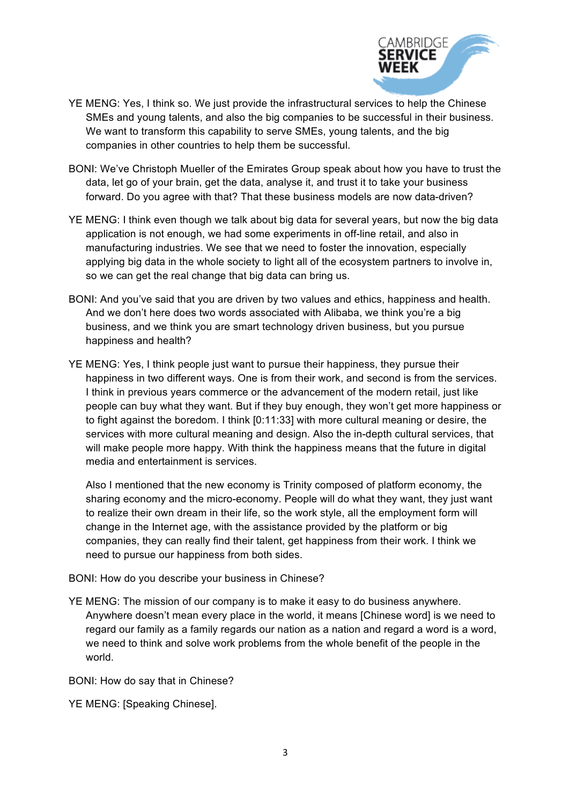

- YE MENG: Yes, I think so. We just provide the infrastructural services to help the Chinese SMEs and young talents, and also the big companies to be successful in their business. We want to transform this capability to serve SMEs, young talents, and the big companies in other countries to help them be successful.
- BONI: We've Christoph Mueller of the Emirates Group speak about how you have to trust the data, let go of your brain, get the data, analyse it, and trust it to take your business forward. Do you agree with that? That these business models are now data-driven?
- YE MENG: I think even though we talk about big data for several years, but now the big data application is not enough, we had some experiments in off-line retail, and also in manufacturing industries. We see that we need to foster the innovation, especially applying big data in the whole society to light all of the ecosystem partners to involve in, so we can get the real change that big data can bring us.
- BONI: And you've said that you are driven by two values and ethics, happiness and health. And we don't here does two words associated with Alibaba, we think you're a big business, and we think you are smart technology driven business, but you pursue happiness and health?
- YE MENG: Yes, I think people just want to pursue their happiness, they pursue their happiness in two different ways. One is from their work, and second is from the services. I think in previous years commerce or the advancement of the modern retail, just like people can buy what they want. But if they buy enough, they won't get more happiness or to fight against the boredom. I think [0:11:33] with more cultural meaning or desire, the services with more cultural meaning and design. Also the in-depth cultural services, that will make people more happy. With think the happiness means that the future in digital media and entertainment is services.

Also I mentioned that the new economy is Trinity composed of platform economy, the sharing economy and the micro-economy. People will do what they want, they just want to realize their own dream in their life, so the work style, all the employment form will change in the Internet age, with the assistance provided by the platform or big companies, they can really find their talent, get happiness from their work. I think we need to pursue our happiness from both sides.

- BONI: How do you describe your business in Chinese?
- YE MENG: The mission of our company is to make it easy to do business anywhere. Anywhere doesn't mean every place in the world, it means [Chinese word] is we need to regard our family as a family regards our nation as a nation and regard a word is a word, we need to think and solve work problems from the whole benefit of the people in the world.

BONI: How do say that in Chinese?

YE MENG: [Speaking Chinese].